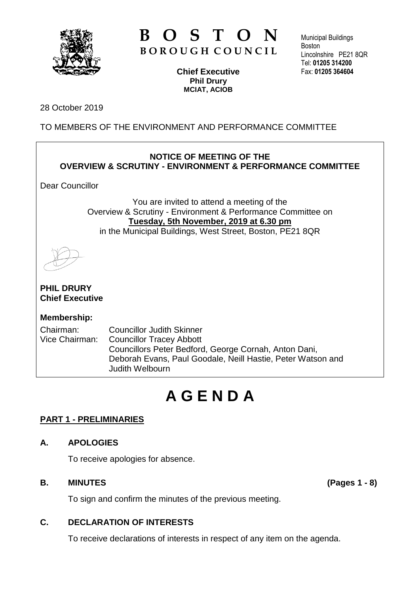

# **B O S T O N B O R O U G H C O U N C I L**

**Chief Executive Phil Drury MCIAT, ACIOB**

Municipal Buildings **Boston** Lincolnshire PE21 8QR Tel: **01205 314200** Fax: **01205 364604**

#### 28 October 2019

TO MEMBERS OF THE ENVIRONMENT AND PERFORMANCE COMMITTEE

# **NOTICE OF MEETING OF THE OVERVIEW & SCRUTINY - ENVIRONMENT & PERFORMANCE COMMITTEE**

Dear Councillor

You are invited to attend a meeting of the Overview & Scrutiny - Environment & Performance Committee on **Tuesday, 5th November, 2019 at 6.30 pm** in the Municipal Buildings, West Street, Boston, PE21 8QR

**PHIL DRURY Chief Executive**

# **Membership:**

Chairman: Councillor Judith Skinner Vice Chairman: Councillor Tracey Abbott Councillors Peter Bedford, George Cornah, Anton Dani, Deborah Evans, Paul Goodale, Neill Hastie, Peter Watson and Judith Welbourn

# **A G E N D A**

# **PART 1 - PRELIMINARIES**

# **A. APOLOGIES**

To receive apologies for absence.

#### **B. MINUTES (Pages 1 - 8)**

To sign and confirm the minutes of the previous meeting.

# **C. DECLARATION OF INTERESTS**

To receive declarations of interests in respect of any item on the agenda.